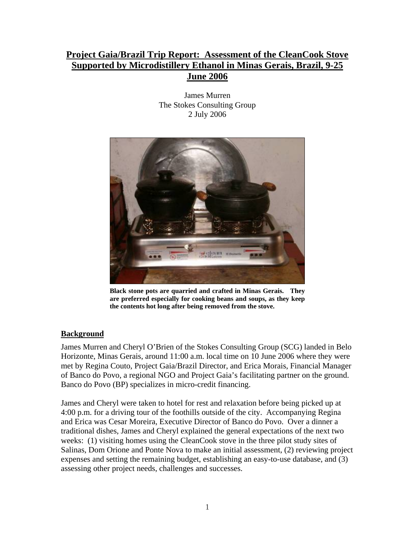# **Project Gaia/Brazil Trip Report: Assessment of the CleanCook Stove Supported by Microdistillery Ethanol in Minas Gerais, Brazil, 9-25 June 2006**

James Murren The Stokes Consulting Group 2 July 2006



**Black stone pots are quarried and crafted in Minas Gerais. They are preferred especially for cooking beans and soups, as they keep the contents hot long after being removed from the stove.** 

### **Background**

James Murren and Cheryl O'Brien of the Stokes Consulting Group (SCG) landed in Belo Horizonte, Minas Gerais, around 11:00 a.m. local time on 10 June 2006 where they were met by Regina Couto, Project Gaia/Brazil Director, and Erica Morais, Financial Manager of Banco do Povo, a regional NGO and Project Gaia's facilitating partner on the ground. Banco do Povo (BP) specializes in micro-credit financing.

James and Cheryl were taken to hotel for rest and relaxation before being picked up at 4:00 p.m. for a driving tour of the foothills outside of the city. Accompanying Regina and Erica was Cesar Moreira, Executive Director of Banco do Povo. Over a dinner a traditional dishes, James and Cheryl explained the general expectations of the next two weeks: (1) visiting homes using the CleanCook stove in the three pilot study sites of Salinas, Dom Orione and Ponte Nova to make an initial assessment, (2) reviewing project expenses and setting the remaining budget, establishing an easy-to-use database, and (3) assessing other project needs, challenges and successes.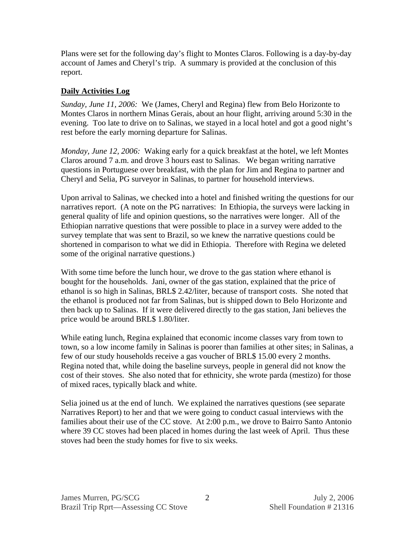Plans were set for the following day's flight to Montes Claros. Following is a day-by-day account of James and Cheryl's trip. A summary is provided at the conclusion of this report.

### **Daily Activities Log**

*Sunday, June 11, 2006:* We (James, Cheryl and Regina) flew from Belo Horizonte to Montes Claros in northern Minas Gerais, about an hour flight, arriving around 5:30 in the evening. Too late to drive on to Salinas, we stayed in a local hotel and got a good night's rest before the early morning departure for Salinas.

*Monday, June 12, 2006:* Waking early for a quick breakfast at the hotel, we left Montes Claros around 7 a.m. and drove 3 hours east to Salinas. We began writing narrative questions in Portuguese over breakfast, with the plan for Jim and Regina to partner and Cheryl and Selia, PG surveyor in Salinas, to partner for household interviews.

Upon arrival to Salinas, we checked into a hotel and finished writing the questions for our narratives report. (A note on the PG narratives: In Ethiopia, the surveys were lacking in general quality of life and opinion questions, so the narratives were longer. All of the Ethiopian narrative questions that were possible to place in a survey were added to the survey template that was sent to Brazil, so we knew the narrative questions could be shortened in comparison to what we did in Ethiopia. Therefore with Regina we deleted some of the original narrative questions.)

With some time before the lunch hour, we drove to the gas station where ethanol is bought for the households. Jani, owner of the gas station, explained that the price of ethanol is so high in Salinas, BRL\$ 2.42/liter, because of transport costs. She noted that the ethanol is produced not far from Salinas, but is shipped down to Belo Horizonte and then back up to Salinas. If it were delivered directly to the gas station, Jani believes the price would be around BRL\$ 1.80/liter.

While eating lunch, Regina explained that economic income classes vary from town to town, so a low income family in Salinas is poorer than families at other sites; in Salinas, a few of our study households receive a gas voucher of BRL\$ 15.00 every 2 months. Regina noted that, while doing the baseline surveys, people in general did not know the cost of their stoves. She also noted that for ethnicity, she wrote parda (mestizo) for those of mixed races, typically black and white.

Selia joined us at the end of lunch. We explained the narratives questions (see separate Narratives Report) to her and that we were going to conduct casual interviews with the families about their use of the CC stove. At 2:00 p.m., we drove to Bairro Santo Antonio where 39 CC stoves had been placed in homes during the last week of April. Thus these stoves had been the study homes for five to six weeks.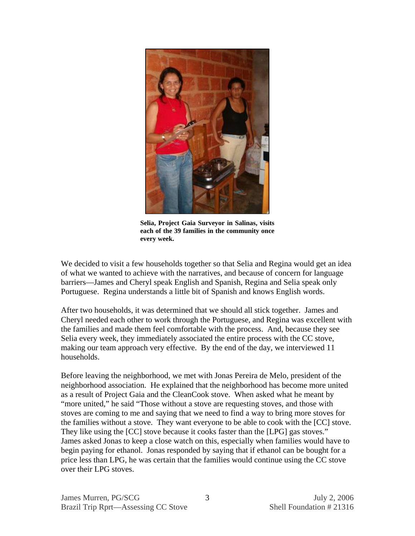

**Selia, Project Gaia Surveyor in Salinas, visits each of the 39 families in the community once every week.** 

We decided to visit a few households together so that Selia and Regina would get an idea of what we wanted to achieve with the narratives, and because of concern for language barriers—James and Cheryl speak English and Spanish, Regina and Selia speak only Portuguese. Regina understands a little bit of Spanish and knows English words.

After two households, it was determined that we should all stick together. James and Cheryl needed each other to work through the Portuguese, and Regina was excellent with the families and made them feel comfortable with the process. And, because they see Selia every week, they immediately associated the entire process with the CC stove, making our team approach very effective. By the end of the day, we interviewed 11 households.

Before leaving the neighborhood, we met with Jonas Pereira de Melo, president of the neighborhood association. He explained that the neighborhood has become more united as a result of Project Gaia and the CleanCook stove. When asked what he meant by "more united," he said "Those without a stove are requesting stoves, and those with stoves are coming to me and saying that we need to find a way to bring more stoves for the families without a stove. They want everyone to be able to cook with the [CC] stove. They like using the [CC] stove because it cooks faster than the [LPG] gas stoves." James asked Jonas to keep a close watch on this, especially when families would have to begin paying for ethanol. Jonas responded by saying that if ethanol can be bought for a price less than LPG, he was certain that the families would continue using the CC stove over their LPG stoves.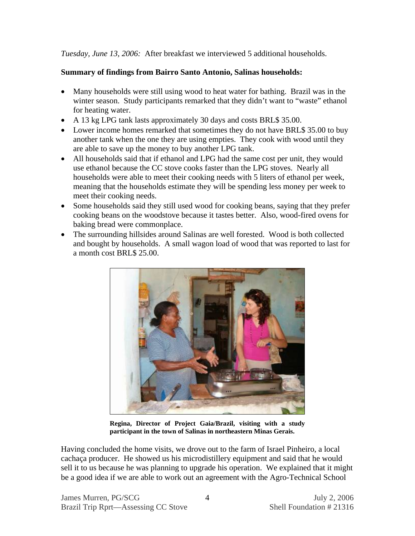*Tuesday, June 13, 2006:* After breakfast we interviewed 5 additional households.

### **Summary of findings from Bairro Santo Antonio, Salinas households:**

- Many households were still using wood to heat water for bathing. Brazil was in the winter season. Study participants remarked that they didn't want to "waste" ethanol for heating water.
- A 13 kg LPG tank lasts approximately 30 days and costs BRL\$ 35.00.
- Lower income homes remarked that sometimes they do not have BRL\$ 35.00 to buy another tank when the one they are using empties. They cook with wood until they are able to save up the money to buy another LPG tank.
- All households said that if ethanol and LPG had the same cost per unit, they would use ethanol because the CC stove cooks faster than the LPG stoves. Nearly all households were able to meet their cooking needs with 5 liters of ethanol per week, meaning that the households estimate they will be spending less money per week to meet their cooking needs.
- Some households said they still used wood for cooking beans, saying that they prefer cooking beans on the woodstove because it tastes better. Also, wood-fired ovens for baking bread were commonplace.
- The surrounding hillsides around Salinas are well forested. Wood is both collected and bought by households. A small wagon load of wood that was reported to last for a month cost BRL\$ 25.00.



**Regina, Director of Project Gaia/Brazil, visiting with a study participant in the town of Salinas in northeastern Minas Gerais.** 

Having concluded the home visits, we drove out to the farm of Israel Pinheiro, a local cachaça producer. He showed us his microdistillery equipment and said that he would sell it to us because he was planning to upgrade his operation. We explained that it might be a good idea if we are able to work out an agreement with the Agro-Technical School

4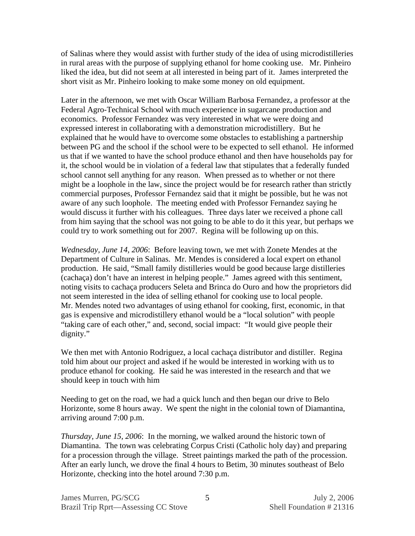of Salinas where they would assist with further study of the idea of using microdistilleries in rural areas with the purpose of supplying ethanol for home cooking use. Mr. Pinheiro liked the idea, but did not seem at all interested in being part of it. James interpreted the short visit as Mr. Pinheiro looking to make some money on old equipment.

Later in the afternoon, we met with Oscar William Barbosa Fernandez, a professor at the Federal Agro-Technical School with much experience in sugarcane production and economics. Professor Fernandez was very interested in what we were doing and expressed interest in collaborating with a demonstration microdistillery. But he explained that he would have to overcome some obstacles to establishing a partnership between PG and the school if the school were to be expected to sell ethanol. He informed us that if we wanted to have the school produce ethanol and then have households pay for it, the school would be in violation of a federal law that stipulates that a federally funded school cannot sell anything for any reason. When pressed as to whether or not there might be a loophole in the law, since the project would be for research rather than strictly commercial purposes, Professor Fernandez said that it might be possible, but he was not aware of any such loophole. The meeting ended with Professor Fernandez saying he would discuss it further with his colleagues. Three days later we received a phone call from him saying that the school was not going to be able to do it this year, but perhaps we could try to work something out for 2007. Regina will be following up on this.

*Wednesday, June 14, 2006*: Before leaving town, we met with Zonete Mendes at the Department of Culture in Salinas. Mr. Mendes is considered a local expert on ethanol production. He said, "Small family distilleries would be good because large distilleries (cachaça) don't have an interest in helping people." James agreed with this sentiment, noting visits to cachaça producers Seleta and Brinca do Ouro and how the proprietors did not seem interested in the idea of selling ethanol for cooking use to local people. Mr. Mendes noted two advantages of using ethanol for cooking, first, economic, in that gas is expensive and microdistillery ethanol would be a "local solution" with people "taking care of each other," and, second, social impact: "It would give people their dignity."

We then met with Antonio Rodriguez, a local cachaça distributor and distiller.Regina told him about our project and asked if he would be interested in working with us to produce ethanol for cooking. He said he was interested in the research and that we should keep in touch with him

Needing to get on the road, we had a quick lunch and then began our drive to Belo Horizonte, some 8 hours away. We spent the night in the colonial town of Diamantina, arriving around 7:00 p.m.

*Thursday, June 15, 2006*: In the morning, we walked around the historic town of Diamantina. The town was celebrating Corpus Cristi (Catholic holy day) and preparing for a procession through the village. Street paintings marked the path of the procession. After an early lunch, we drove the final 4 hours to Betim, 30 minutes southeast of Belo Horizonte, checking into the hotel around 7:30 p.m.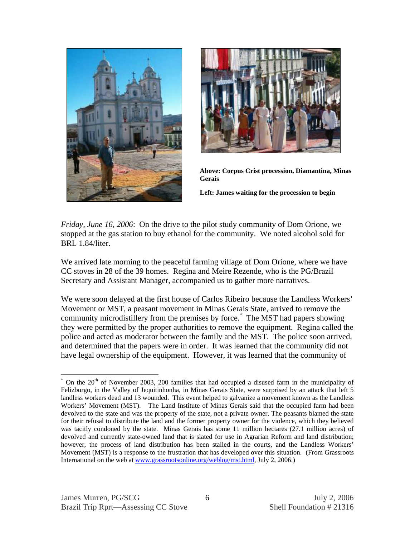



**Above: Corpus Crist procession, Diamantina, Minas Gerais** 

**Left: James waiting for the procession to begin** 

*Friday, June 16, 2006*: On the drive to the pilot study community of Dom Orione, we stopped at the gas station to buy ethanol for the community. We noted alcohol sold for BRL 1.84/liter.

We arrived late morning to the peaceful farming village of Dom Orione, where we have CC stoves in 28 of the 39 homes. Regina and Meire Rezende, who is the PG/Brazil Secretary and Assistant Manager, accompanied us to gather more narratives.

We were soon delayed at the first house of Carlos Ribeiro because the Landless Workers' Movement or MST, a peasant movement in Minas Gerais State, arrived to remove the community microdistillery from the premises by force.\* The MST had papers showing they were permitted by the proper authorities to remove the equipment. Regina called the police and acted as moderator between the family and the MST. The police soon arrived, and determined that the papers were in order. It was learned that the community did not have legal ownership of the equipment. However, it was learned that the community of

 $\overline{a}$ 

<sup>\*</sup> On the 20<sup>th</sup> of November 2003, 200 families that had occupied a disused farm in the municipality of Felizburgo, in the Valley of Jequitinhonha, in Minas Gerais State, were surprised by an attack that left 5 landless workers dead and 13 wounded. This event helped to galvanize a movement known as the Landless Workers' Movement (MST). The Land Institute of Minas Gerais said that the occupied farm had been devolved to the state and was the property of the state, not a private owner. The peasants blamed the state for their refusal to distribute the land and the former property owner for the violence, which they believed was tacitly condoned by the state. Minas Gerais has some 11 million hectares (27.1 million acres) of devolved and currently state-owned land that is slated for use in Agrarian Reform and land distribution; however, the process of land distribution has been stalled in the courts, and the Landless Workers' Movement (MST) is a response to the frustration that has developed over this situation. (From Grassroots International on the web at www.grassrootsonline.org/weblog/mst.html, July 2, 2006.)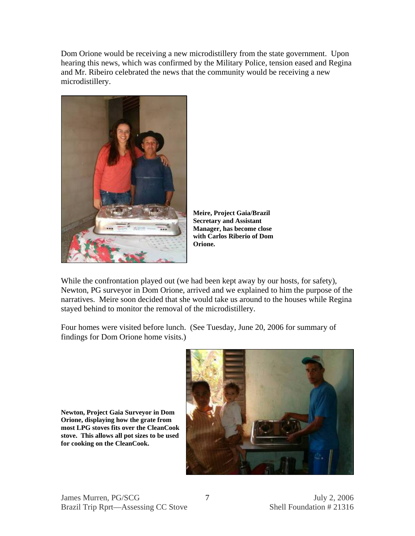Dom Orione would be receiving a new microdistillery from the state government. Upon hearing this news, which was confirmed by the Military Police, tension eased and Regina and Mr. Ribeiro celebrated the news that the community would be receiving a new microdistillery.



**Meire, Project Gaia/Brazil Secretary and Assistant Manager, has become close with Carlos Riberio of Dom Orione.** 

While the confrontation played out (we had been kept away by our hosts, for safety), Newton, PG surveyor in Dom Orione, arrived and we explained to him the purpose of the narratives. Meire soon decided that she would take us around to the houses while Regina stayed behind to monitor the removal of the microdistillery.

Four homes were visited before lunch. (See Tuesday, June 20, 2006 for summary of findings for Dom Orione home visits.)



**Newton, Project Gaia Surveyor in Dom Orione, displaying how the grate from most LPG stoves fits over the CleanCook stove. This allows all pot sizes to be used for cooking on the CleanCook.**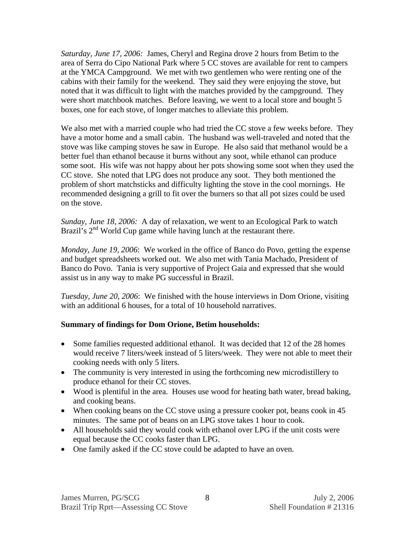*Saturday, June 17, 2006:* James, Cheryl and Regina drove 2 hours from Betim to the area of Serra do Cipo National Park where 5 CC stoves are available for rent to campers at the YMCA Campground. We met with two gentlemen who were renting one of the cabins with their family for the weekend. They said they were enjoying the stove, but noted that it was difficult to light with the matches provided by the campground. They were short matchbook matches. Before leaving, we went to a local store and bought 5 boxes, one for each stove, of longer matches to alleviate this problem.

We also met with a married couple who had tried the CC stove a few weeks before. They have a motor home and a small cabin. The husband was well-traveled and noted that the stove was like camping stoves he saw in Europe. He also said that methanol would be a better fuel than ethanol because it burns without any soot, while ethanol can produce some soot. His wife was not happy about her pots showing some soot when they used the CC stove. She noted that LPG does not produce any soot. They both mentioned the problem of short matchsticks and difficulty lighting the stove in the cool mornings. He recommended designing a grill to fit over the burners so that all pot sizes could be used on the stove.

*Sunday, June 18, 2006:* A day of relaxation, we went to an Ecological Park to watch Brazil's  $2<sup>nd</sup>$  World Cup game while having lunch at the restaurant there.

*Monday, June 19, 2006*: We worked in the office of Banco do Povo, getting the expense and budget spreadsheets worked out. We also met with Tania Machado, President of Banco do Povo. Tania is very supportive of Project Gaia and expressed that she would assist us in any way to make PG successful in Brazil.

*Tuesday, June 20, 2006*: We finished with the house interviews in Dom Orione, visiting with an additional 6 houses, for a total of 10 household narratives.

### **Summary of findings for Dom Orione, Betim households:**

- Some families requested additional ethanol. It was decided that 12 of the 28 homes would receive 7 liters/week instead of 5 liters/week. They were not able to meet their cooking needs with only 5 liters.
- The community is very interested in using the forthcoming new microdistillery to produce ethanol for their CC stoves.
- Wood is plentiful in the area. Houses use wood for heating bath water, bread baking, and cooking beans.
- When cooking beans on the CC stove using a pressure cooker pot, beans cook in 45 minutes. The same pot of beans on an LPG stove takes 1 hour to cook.
- All households said they would cook with ethanol over LPG if the unit costs were equal because the CC cooks faster than LPG.
- One family asked if the CC stove could be adapted to have an oven.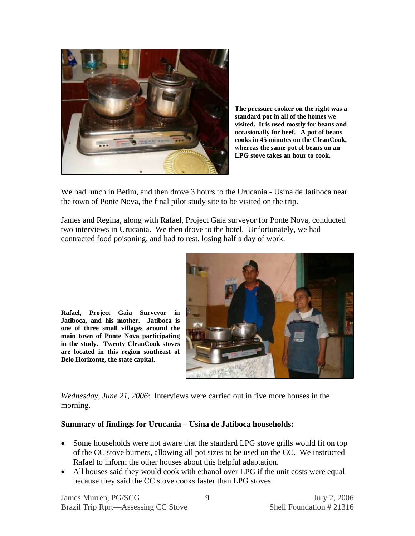

**The pressure cooker on the right was a standard pot in all of the homes we visited. It is used mostly for beans and occasionally for beef. A pot of beans cooks in 45 minutes on the CleanCook, whereas the same pot of beans on an LPG stove takes an hour to cook.** 

We had lunch in Betim, and then drove 3 hours to the Urucania - Usina de Jatiboca near the town of Ponte Nova, the final pilot study site to be visited on the trip.

James and Regina, along with Rafael, Project Gaia surveyor for Ponte Nova, conducted two interviews in Urucania. We then drove to the hotel. Unfortunately, we had contracted food poisoning, and had to rest, losing half a day of work.



**Rafael, Project Gaia Surveyor in Jatiboca, and his mother. Jatiboca is one of three small villages around the main town of Ponte Nova participating in the study. Twenty CleanCook stoves are located in this region southeast of Belo Horizonte, the state capital.** 

*Wednesday, June 21, 2006*: Interviews were carried out in five more houses in the morning.

#### **Summary of findings for Urucania – Usina de Jatiboca households:**

- Some households were not aware that the standard LPG stove grills would fit on top of the CC stove burners, allowing all pot sizes to be used on the CC. We instructed Rafael to inform the other houses about this helpful adaptation.
- All houses said they would cook with ethanol over LPG if the unit costs were equal because they said the CC stove cooks faster than LPG stoves.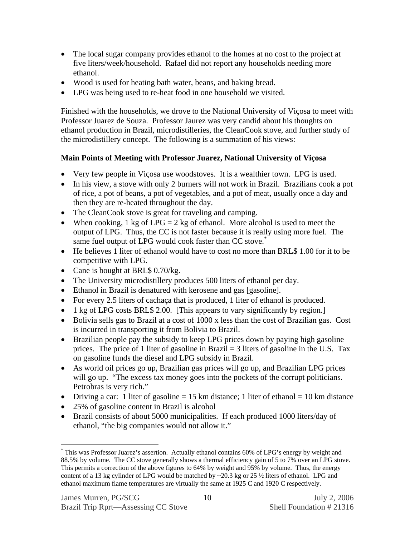- The local sugar company provides ethanol to the homes at no cost to the project at five liters/week/household. Rafael did not report any households needing more ethanol.
- Wood is used for heating bath water, beans, and baking bread.
- LPG was being used to re-heat food in one household we visited.

Finished with the households, we drove to the National University of Viçosa to meet with Professor Juarez de Souza. Professor Jaurez was very candid about his thoughts on ethanol production in Brazil, microdistilleries, the CleanCook stove, and further study of the microdistillery concept. The following is a summation of his views:

## **Main Points of Meeting with Professor Juarez, National University of Viçosa**

- Very few people in Viçosa use woodstoves. It is a wealthier town. LPG is used.
- In his view, a stove with only 2 burners will not work in Brazil. Brazilians cook a pot of rice, a pot of beans, a pot of vegetables, and a pot of meat, usually once a day and then they are re-heated throughout the day.
- The CleanCook stove is great for traveling and camping.
- When cooking, 1 kg of  $LPG = 2$  kg of ethanol. More alcohol is used to meet the output of LPG. Thus, the CC is not faster because it is really using more fuel. The same fuel output of LPG would cook faster than CC stove.<sup>\*</sup>
- He believes 1 liter of ethanol would have to cost no more than BRL\$ 1.00 for it to be competitive with LPG.
- Cane is bought at BRL\$ 0.70/kg.
- The University microdistillery produces 500 liters of ethanol per day.
- Ethanol in Brazil is denatured with kerosene and gas [gasoline].
- For every 2.5 liters of cachaça that is produced, 1 liter of ethanol is produced.
- 1 kg of LPG costs BRL\$ 2.00. [This appears to vary significantly by region.]
- Bolivia sells gas to Brazil at a cost of 1000 x less than the cost of Brazilian gas. Cost is incurred in transporting it from Bolivia to Brazil.
- Brazilian people pay the subsidy to keep LPG prices down by paying high gasoline prices. The price of 1 liter of gasoline in Brazil = 3 liters of gasoline in the U.S. Tax on gasoline funds the diesel and LPG subsidy in Brazil.
- As world oil prices go up, Brazilian gas prices will go up, and Brazilian LPG prices will go up. "The excess tax money goes into the pockets of the corrupt politicians. Petrobras is very rich."
- Driving a car: 1 liter of gasoline  $= 15$  km distance; 1 liter of ethanol  $= 10$  km distance
- 25% of gasoline content in Brazil is alcohol
- Brazil consists of about 5000 municipalities. If each produced 1000 liters/day of ethanol, "the big companies would not allow it."

1

<sup>\*</sup> This was Professor Juarez's assertion. Actually ethanol contains 60% of LPG's energy by weight and 88.5% by volume. The CC stove generally shows a thermal efficiency gain of 5 to 7% over an LPG stove. This permits a correction of the above figures to 64% by weight and 95% by volume. Thus, the energy content of a 13 kg cylinder of LPG would be matched by  $\sim$ 20.3 kg or 25  $\frac{1}{2}$  liters of ethanol. LPG and ethanol maximum flame temperatures are virtually the same at 1925 C and 1920 C respectively.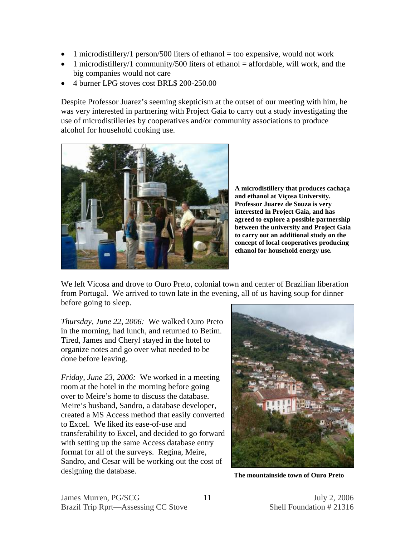- 1 microdistillery/1 person/500 liters of ethanol = too expensive, would not work
- 1 microdistillery/1 community/500 liters of ethanol = affordable, will work, and the big companies would not care
- 4 burner LPG stoves cost BRL\$ 200-250.00

Despite Professor Juarez's seeming skepticism at the outset of our meeting with him, he was very interested in partnering with Project Gaia to carry out a study investigating the use of microdistilleries by cooperatives and/or community associations to produce alcohol for household cooking use.



**A microdistillery that produces cachaça and ethanol at Viçosa University. Professor Juarez de Souza is very interested in Project Gaia, and has agreed to explore a possible partnership between the university and Project Gaia to carry out an additional study on the concept of local cooperatives producing ethanol for household energy use.** 

We left Vicosa and drove to Ouro Preto, colonial town and center of Brazilian liberation from Portugal. We arrived to town late in the evening, all of us having soup for dinner before going to sleep.

*Thursday, June 22, 2006:* We walked Ouro Preto in the morning, had lunch, and returned to Betim. Tired, James and Cheryl stayed in the hotel to organize notes and go over what needed to be done before leaving.

*Friday, June 23, 2006:* We worked in a meeting room at the hotel in the morning before going over to Meire's home to discuss the database. Meire's husband, Sandro, a database developer, created a MS Access method that easily converted to Excel. We liked its ease-of-use and transferability to Excel, and decided to go forward with setting up the same Access database entry format for all of the surveys. Regina, Meire, Sandro, and Cesar will be working out the cost of designing the database. **The mountainside town of Ouro Preto**

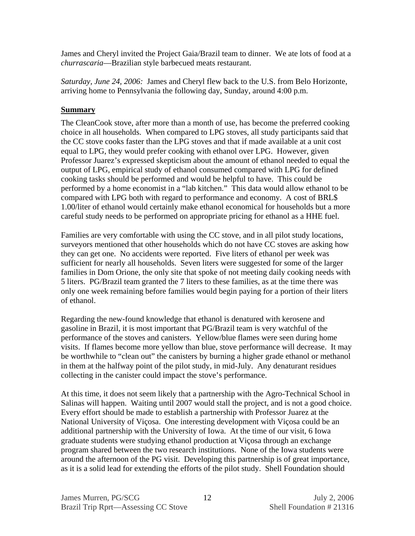James and Cheryl invited the Project Gaia/Brazil team to dinner. We ate lots of food at a *churrascaria*—Brazilian style barbecued meats restaurant.

*Saturday, June 24, 2006:* James and Cheryl flew back to the U.S. from Belo Horizonte, arriving home to Pennsylvania the following day, Sunday, around 4:00 p.m.

#### **Summary**

The CleanCook stove, after more than a month of use, has become the preferred cooking choice in all households. When compared to LPG stoves, all study participants said that the CC stove cooks faster than the LPG stoves and that if made available at a unit cost equal to LPG, they would prefer cooking with ethanol over LPG. However, given Professor Juarez's expressed skepticism about the amount of ethanol needed to equal the output of LPG, empirical study of ethanol consumed compared with LPG for defined cooking tasks should be performed and would be helpful to have. This could be performed by a home economist in a "lab kitchen." This data would allow ethanol to be compared with LPG both with regard to performance and economy. A cost of BRL\$ 1.00/liter of ethanol would certainly make ethanol economical for households but a more careful study needs to be performed on appropriate pricing for ethanol as a HHE fuel.

Families are very comfortable with using the CC stove, and in all pilot study locations, surveyors mentioned that other households which do not have CC stoves are asking how they can get one. No accidents were reported. Five liters of ethanol per week was sufficient for nearly all households. Seven liters were suggested for some of the larger families in Dom Orione, the only site that spoke of not meeting daily cooking needs with 5 liters. PG/Brazil team granted the 7 liters to these families, as at the time there was only one week remaining before families would begin paying for a portion of their liters of ethanol.

Regarding the new-found knowledge that ethanol is denatured with kerosene and gasoline in Brazil, it is most important that PG/Brazil team is very watchful of the performance of the stoves and canisters. Yellow/blue flames were seen during home visits. If flames become more yellow than blue, stove performance will decrease. It may be worthwhile to "clean out" the canisters by burning a higher grade ethanol or methanol in them at the halfway point of the pilot study, in mid-July. Any denaturant residues collecting in the canister could impact the stove's performance.

At this time, it does not seem likely that a partnership with the Agro-Technical School in Salinas will happen. Waiting until 2007 would stall the project, and is not a good choice. Every effort should be made to establish a partnership with Professor Juarez at the National University of Viçosa. One interesting development with Viçosa could be an additional partnership with the University of Iowa. At the time of our visit, 6 Iowa graduate students were studying ethanol production at Viçosa through an exchange program shared between the two research institutions. None of the Iowa students were around the afternoon of the PG visit. Developing this partnership is of great importance, as it is a solid lead for extending the efforts of the pilot study. Shell Foundation should

12